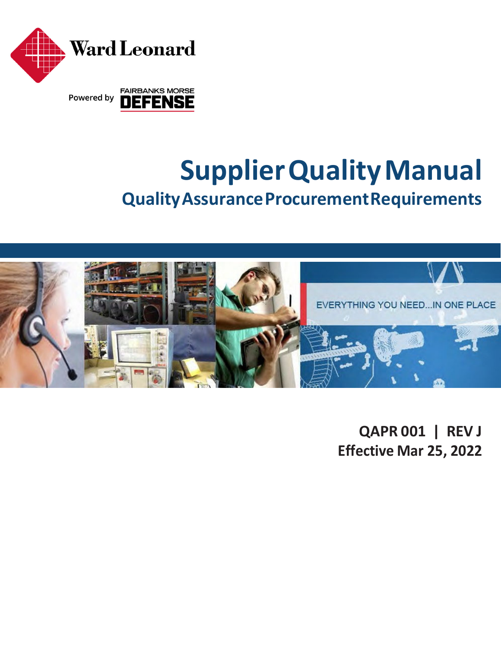

# **SupplierQualityManual QualityAssuranceProcurementRequirements**



**QAPR 001 | REV J Effective Mar 25, 2022**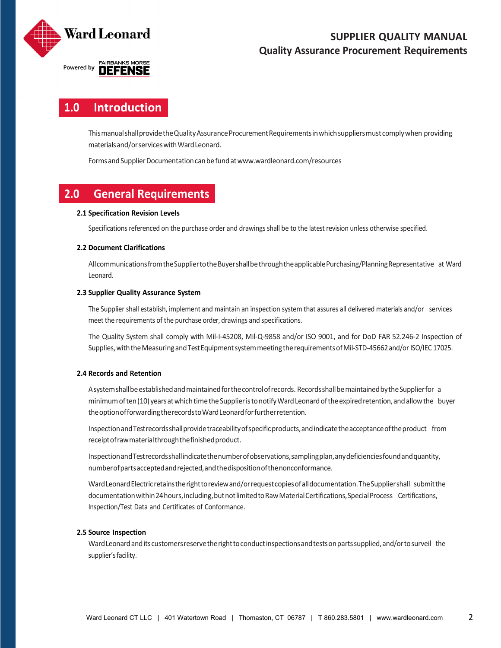

# **1.0 Introduction**

This manual shall provide the Quality Assurance Procurement Requirements in which suppliers must comply when providing materialsand/orserviceswithWardLeonard.

Forms and Supplier Documentation can be fund at www.wardleonard.com/resources

# **2.0 General Requirements**

# **2.1 Specification Revision Levels**

Specifications referenced on the purchase order and drawings shall be to the latest revision unless otherwise specified.

# **2.2 Document Clarifications**

AllcommunicationsfromtheSuppliertotheBuyershallbethroughtheapplicablePurchasing/PlanningRepresentative at Ward Leonard.

# **2.3 Supplier Quality Assurance System**

The Supplier shall establish, implement and maintain an inspection system that assures all delivered materials and/or services meet the requirements of the purchase order, drawings and specifications.

The Quality System shall comply with Mil‐I‐45208, Mil‐Q‐9858 and/or ISO 9001, and for DoD FAR 52.246‐2 Inspection of Supplies, with the Measuring and Test Equipment system meeting the requirements of Mil-STD-45662 and/or ISO/IEC 17025.

# **2.4 Records and Retention**

Asystemshallbeestablishedandmaintainedforthecontrolofrecords. RecordsshallbemaintainedbytheSupplierfor a minimumoften(10)yearsatwhichtimetheSupplieristonotifyWardLeonardoftheexpiredretention,andallowthe buyer theoptionofforwardingtherecordstoWardLeonardforfurtherretention.

InspectionandTestrecordsshallprovidetraceabilityofspecificproducts,andindicatetheacceptanceoftheproduct from receiptofrawmaterialthroughthefinishedproduct.

InspectionandTestrecordsshallindicatethenumberofobservations,samplingplan,anydeficienciesfoundandquantity, numberofpartsacceptedandrejected,andthedispositionofthenonconformance.

Ward Leonard Electric retains the right to review and/or request copies of all documentation. The Supplier shall submit the documentation within 24 hours, including, but not limited to Raw Material Certifications, Special Process Certifications, Inspection/Test Data and Certificates of Conformance.

### **2.5 Source Inspection**

Ward Leonard and its customers reserve the right to conduct inspections and tests on parts supplied, and/or to surveil the supplier's facility.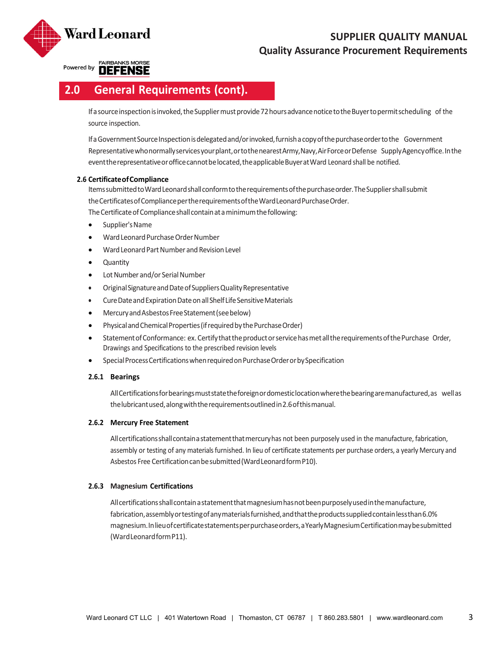

Powered by **DEFENSE** 

# **2.0 General Requirements (cont).**

If a source inspection is invoked, the Supplier must provide 72 hours advance notice to the Buyer to permit scheduling of the source inspection.

If a Government Source Inspection is delegated and/or invoked, furnish a copy of the purchase order to the Government Representativewhonormallyservicesyourplant,ortothenearestArmy,Navy,AirForceorDefense SupplyAgencyoffice.Inthe event the representative or office cannot be located, the applicable Buyer at Ward Leonard shall be notified.

### **2.6 CertificateofCompliance**

ItemssubmittedtoWardLeonardshallconformtotherequirementsofthepurchaseorder.TheSuppliershallsubmit theCertificatesofCompliancepertherequirementsoftheWardLeonardPurchaseOrder. The Certificate of Compliance shall contain at a minimum the following:

- Supplier's Name
- Ward Leonard Purchase Order Number
- Ward Leonard Part Number and Revision Level
- Quantity
- Lot Number and/or Serial Number
- OriginalSignatureandDateofSuppliersQualityRepresentative
- CureDateandExpirationDateonallShelf LifeSensitiveMaterials
- MercuryandAsbestosFreeStatement(seebelow)
- Physical and Chemical Properties (if required by the Purchase Order)
- StatementofConformance: ex.CertifythattheproductorservicehasmetalltherequirementsofthePurchase Order, Drawings and Specifications to the prescribed revision levels
- Special Process Certifications when required on Purchase Order or by Specification

### **2.6.1 Bearings**

AllCertificationsforbearingsmuststatetheforeignordomesticlocationwherethebearingaremanufactured,as wellas thelubricantused,alongwiththerequirementsoutlinedin2.6ofthismanual.

### **2.6.2 Mercury Free Statement**

Allcertificationsshallcontainastatementthatmercuryhas not been purposely used in the manufacture, fabrication, assembly or testing of any materials furnished. In lieu of certificate statements per purchase orders, a yearly Mercury and Asbestos Free Certificationcanbesubmitted(WardLeonardformP10).

### **2.6.3 Magnesium Certifications**

Allcertificationsshallcontainastatementthatmagnesiumhasnotbeenpurposelyusedinthemanufacture, fabrication,assemblyortestingofanymaterialsfurnished,andthattheproductssuppliedcontainlessthan6.0% magnesium.Inlieuofcertificatestatementsperpurchaseorders,aYearlyMagnesiumCertificationmaybesubmitted (WardLeonardformP11).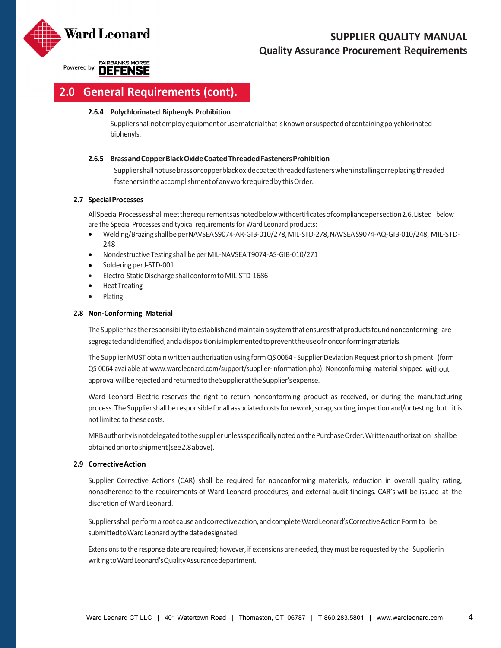

Powered by **DEFENSE** 

# **2.0 General Requirements (cont).**

### **2.6.4 Polychlorinated Biphenyls Prohibition**

Suppliershallnotemployequipmentorusematerialthatisknownorsuspectedofcontainingpolychlorinated biphenyls.

### **2.6.5 BrassandCopperBlackOxideCoatedThreadedFastenersProhibition**

Suppliershallnotusebrassorcopperblackoxidecoatedthreadedfastenerswheninstallingorreplacingthreaded fasteners in the accomplishment of any work required by this Order.

# **2.7 SpecialProcesses**

AllSpecialProcessesshallmeettherequirementsasnotedbelowwithcertificatesofcompliancepersection2.6.Listed below are the Special Processes and typical requirements for Ward Leonard products:

- Welding/BrazingshallbeperNAVSEAS9074‐AR‐GIB‐010/278,MIL‐STD‐278,NAVSEAS9074‐AQ‐GIB‐010/248, MIL‐STD‐ 248
- Nondestructive Testing shall be per MIL-NAVSEA T9074-AS-GIB-010/271
- Soldering per J-STD-001
- Electro-Static Discharge shall conform to MIL-STD-1686
- Heat Treating
- Plating

# **2.8 Non‐Conforming Material**

The Supplier has the responsibility to establish and maintain a system that ensures that products found nonconforming are segregatedandidentified,andadispositionisimplementedtopreventtheuseofnonconformingmaterials.

The Supplier MUST obtain written authorization using form QS 0064 - Supplier Deviation Request prior to shipment (form QS 0064 available at www.wardleonard.com/support/supplier‐information.php). Nonconforming material shipped without approvalwillberejectedandreturnedtotheSupplierattheSupplier'sexpense.

Ward Leonard Electric reserves the right to return nonconforming product as received, or during the manufacturing process. The Supplier shall be responsible for all associated costs for rework, scrap, sorting, inspection and/or testing, but it is not limited to these costs.

MRBauthorityisnotdelegatedtothesupplierunlessspecificallynotedonthePurchaseOrder.Writtenauthorization shallbe obtainedpriortoshipment(see2.8above).

### **2.9 CorrectiveAction**

Supplier Corrective Actions (CAR) shall be required for nonconforming materials, reduction in overall quality rating, nonadherence to the requirements of Ward Leonard procedures, and external audit findings. CAR's will be issued at the discretion of WardLeonard.

Suppliers shall perform a root cause and corrective action, and complete Ward Leonard's Corrective Action Form to be submitted to Ward Leonard by the date designated.

Extensionsto the response date are required; however, if extensions are needed, they must be requested by the Supplierin writingtoWardLeonard'sQualityAssurancedepartment.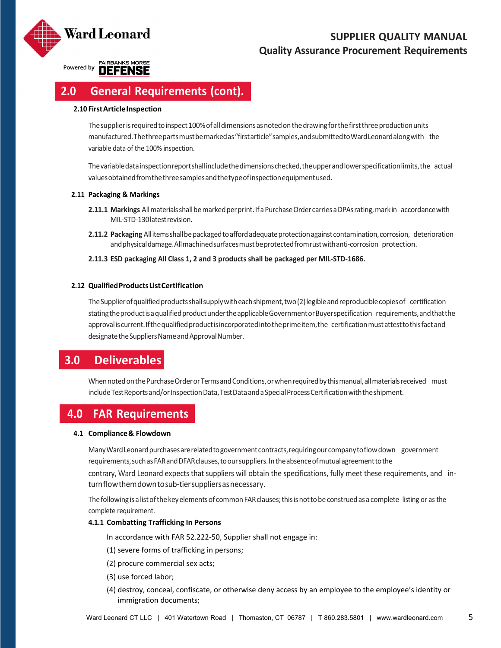

Powered by **DEFENSE** 

# **2.0 General Requirements (cont).**

### **2.10 FirstArticleInspection**

The supplier is required to inspect 100% of all dimensions as noted on the drawing for the first three production units manufactured.Thethreepartsmustbemarkedas"firstarticle"samples,andsubmittedtoWardLeonardalongwith the variable data of the 100% inspection.

Thevariabledatainspectionreportshallincludethedimensionschecked,theupperandlowerspecificationlimits,the actual valuesobtainedfromthethreesamplesandthetypeofinspectionequipmentused.

# **2.11 Packaging & Markings**

- 2.11.1 Markings All materials shall be marked per print. If a Purchase Order carries a DPAs rating, mark in accordance with MIL‐STD‐130latestrevision.
- 2.11.2 Packaging Allitemsshall be packaged to afford adequate protection against contamination, corrosion, deterioration and physical damage. All machined surfaces must be protected from rust with anti-corrosion protection.

# **2.11.3 ESD packaging All Class 1, 2 and 3 products shall be packaged per MIL‐STD‐1686.**

# **2.12 QualifiedProductsListCertification**

TheSupplierofqualifiedproductsshallsupplywitheachshipment,two(2)legibleandreproduciblecopiesof certification statingthe product is a qualified product under the applicable Government or Buyer specification requirements, and that the approvaliscurrent.Ifthequalifiedproductisincorporatedintotheprimeitem,the certificationmustattesttothisfactand designate the Suppliers Name and Approval Number.

# **3.0 Deliverables**

When noted on the Purchase Order or Terms and Conditions, or when required by this manual, all materials received must includeTestReportsand/orInspectionData,TestDataandaSpecialProcessCertificationwiththeshipment.

# **4.0 FAR Requirements**

### **4.1 Compliance& Flowdown**

ManyWardLeonardpurchasesarerelatedtogovernmentcontracts,requiringourcompanytoflowdown government requirements, such as FAR and DFAR clauses, to our suppliers. In the absence of mutual agreement to the contrary, Ward Leonard expects that suppliers will obtain the specifications, fully meet these requirements, and in‐ turnflowthemdowntosub‐tiersuppliersasnecessary.

The following is a list of the key elements of common FAR clauses; this is not to be construed as a complete listing or as the complete requirement.

### **4.1.1 Combatting Trafficking In Persons**

In accordance with FAR 52.222‐50, Supplier shall not engage in:

- (1) severe forms of trafficking in persons;
- (2) procure commercial sex acts;
- (3) use forced labor;
- (4) destroy, conceal, confiscate, or otherwise deny access by an employee to the employee's identity or immigration documents;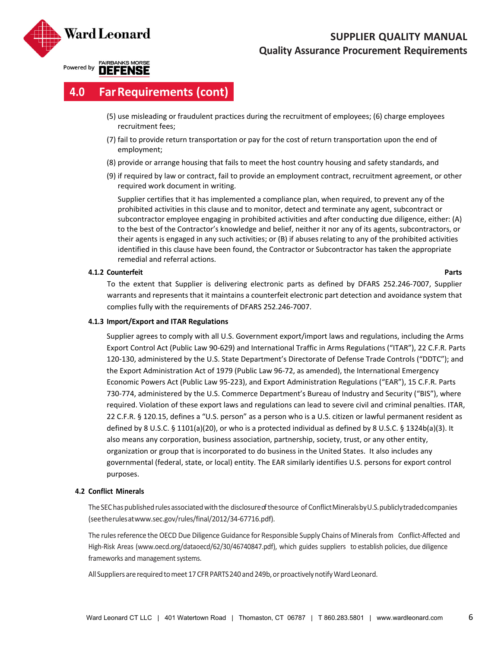

Powered by **DEFENSE** 

# **4.0 FarRequirements (cont)**

- (5) use misleading or fraudulent practices during the recruitment of employees; (6) charge employees recruitment fees;
- (7) fail to provide return transportation or pay for the cost of return transportation upon the end of employment;
- (8) provide or arrange housing that fails to meet the host country housing and safety standards, and
- (9) if required by law or contract, fail to provide an employment contract, recruitment agreement, or other required work document in writing.

Supplier certifies that it has implemented a compliance plan, when required, to prevent any of the prohibited activities in this clause and to monitor, detect and terminate any agent, subcontract or subcontractor employee engaging in prohibited activities and after conducting due diligence, either: (A) to the best of the Contractor's knowledge and belief, neither it nor any of its agents, subcontractors, or their agents is engaged in any such activities; or (B) if abuses relating to any of the prohibited activities identified in this clause have been found, the Contractor or Subcontractor has taken the appropriate remedial and referral actions.

# **4.1.2 Counterfeit Parts**

To the extent that Supplier is delivering electronic parts as defined by DFARS 252.246‐7007, Supplier warrants and represents that it maintains a counterfeit electronic part detection and avoidance system that complies fully with the requirements of DFARS 252.246‐7007.

# **4.1.3 Import/Export and ITAR Regulations**

Supplier agrees to comply with all U.S. Government export/import laws and regulations, including the Arms Export Control Act (Public Law 90‐629) and International Traffic in Arms Regulations ("ITAR"), 22 C.F.R. Parts 120‐130, administered by the U.S. State Department's Directorate of Defense Trade Controls ("DDTC"); and the Export Administration Act of 1979 (Public Law 96‐72, as amended), the International Emergency Economic Powers Act (Public Law 95‐223), and Export Administration Regulations ("EAR"), 15 C.F.R. Parts 730‐774, administered by the U.S. Commerce Department's Bureau of Industry and Security ("BIS"), where required. Violation of these export laws and regulations can lead to severe civil and criminal penalties. ITAR, 22 C.F.R. § 120.15, defines a "U.S. person" as a person who is a U.S. citizen or lawful permanent resident as defined by 8 U.S.C. § 1101(a)(20), or who is a protected individual as defined by 8 U.S.C. § 1324b(a)(3). It also means any corporation, business association, partnership, society, trust, or any other entity, organization or group that is incorporated to do business in the United States. It also includes any governmental (federal, state, or local) entity. The EAR similarly identifies U.S. persons for export control purposes.

# **4.2 Conflict Minerals**

The SEC has published rules associated with the disclosure of the source of Conflict Minerals by U.S. publicly traded companies (seetherulesatwww.sec.gov/rules/final/2012/34‐67716.pdf).

The rules reference the OECD Due Diligence Guidance for Responsible Supply Chains of Minerals from Conflict-Affected and High‐Risk Areas (www.oecd.org/dataoecd/62/30/46740847.pdf), which guides suppliers to establish policies, due diligence frameworks and management systems.

All Suppliers are required to meet 17 CFR PARTS 240 and 249b, or proactively notify Ward Leonard.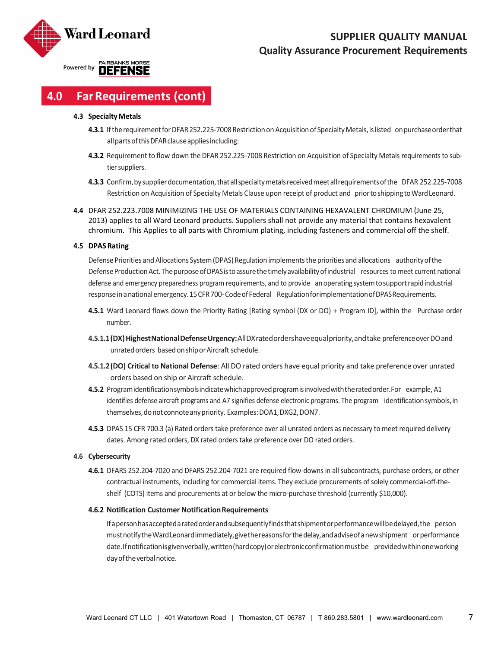

# **4.0 FarRequirements (cont)**

#### **4.3 Specialty Metals**

- **4.3.1** If the requirement for DFAR 252.225-7008 Restriction on Acquisition of Specialty Metals, is listed on purchase order that all parts of this DFAR clause applies including:
- 4.3.2 Requirement to flow down the DFAR 252.225-7008 Restriction on Acquisition of Specialty Metals requirements to subtier suppliers.
- **4.3.3** Confirm,bysupplierdocumentation,thatallspecialtymetalsreceivedmeetallrequirementsofthe DFAR 252.225‐7008 Restriction on Acquisition of Specialty Metals Clause upon receipt of product and priortoshippingtoWardLeonard.
- **4.4** DFAR 252.223.7008 MINIMIZING THE USE OF MATERIALS CONTAINING HEXAVALENT CHROMIUM (June 25, 2013) applies to all Ward Leonard products. Suppliers shall not provide any material that contains hexavalent chromium. This Applies to all parts with Chromium plating, including fasteners and commercial off the shelf.

#### **4.5 DPASRating**

Defense Priorities and Allocations System (DPAS) Regulation implements the priorities and allocations authority of the Defense Production Act. The purpose of DPAS is to assure the timely availability of industrial resources to meet current national defense and emergency preparedness program requirements, and to provide anoperatingsystemtosupportrapidindustrial response in a national emergency. 15 CFR 700- Code of Federal Regulation for implementation of DPAS Requirements.

- **4.5.1** Ward Leonard flows down the Priority Rating [Rating symbol (DX or DO) + Program ID], within the Purchase order number.
- 4.5.1.1 (DX) Highest National Defense Urgency: All DX rated orders have equal priority, and take preference over DO and unratedorders basedonshiporAircraft schedule.
- **4.5.1.2(DO) Critical to National Defense**: All DO rated orders have equal priority and take preference over unrated orders based on ship or Aircraft schedule.
- **4.5.2** Programidentificationsymbolsindicatewhichapprovedprogramisinvolvedwiththeratedorder.For example, A1 identifies defense aircraft programs and A7 signifies defense electronic programs. The program identification symbols, in themselves,donotconnoteanypriority. Examples:DOA1,DXG2,DON7.
- **4.5.3** DPAS 15 CFR 700.3 (a) Rated orders take preference over all unrated orders as necessary to meet required delivery dates. Among rated orders, DX rated orders take preference over DO rated orders.

#### **4.6 Cybersecurity**

**4.6.1** DFARS 252.204‐7020 and DFARS 252.204‐7021 are required flow‐downsin allsubcontracts, purchase orders, or other contractual instruments, including for commercial items. They exclude procurements of solely commercial-off-theshelf (COTS) items and procurements at or below the micro-purchase threshold (currently \$10,000).

#### **4.6.2 Notification Customer NotificationRequirements**

Ifapersonhasacceptedaratedorderandsubsequentlyfindsthatshipmentorperformancewillbedelayed,the person must notify the Ward Leonard immediately, give the reasons for the delay, and advise of a new shipment or performance date.Ifnotificationisgivenverbally, written (hardcopy) or electronic confirmation must be provided within one working dayoftheverbalnotice.